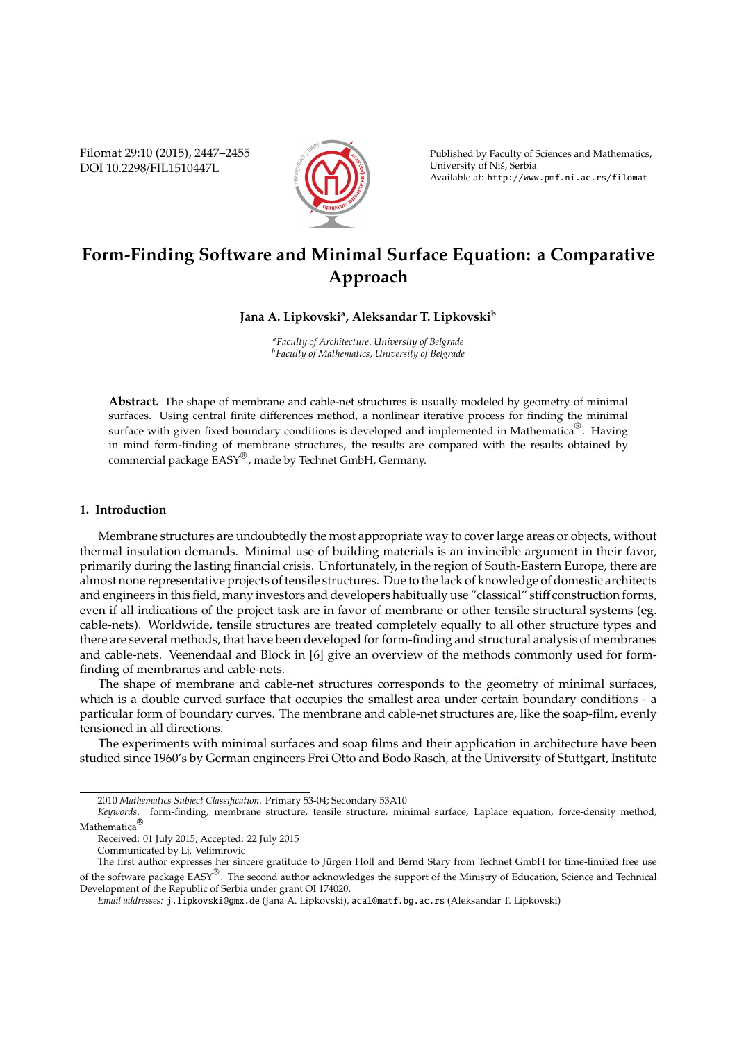Filomat 29:10 (2015), 2447–2455 DOI 10.2298/FIL1510447L



Published by Faculty of Sciences and Mathematics, University of Niš, Serbia Available at: http://www.pmf.ni.ac.rs/filomat

# **Form-Finding Software and Minimal Surface Equation: a Comparative Approach**

## **Jana A. Lipkovski<sup>a</sup> , Aleksandar T. Lipkovski<sup>b</sup>**

*<sup>a</sup>Faculty of Architecture, University of Belgrade <sup>b</sup>Faculty of Mathematics, University of Belgrade*

**Abstract.** The shape of membrane and cable-net structures is usually modeled by geometry of minimal surfaces. Using central finite differences method, a nonlinear iterative process for finding the minimal surface with given fixed boundary conditions is developed and implemented in Mathematica<sup>®</sup>. Having in mind form-finding of membrane structures, the results are compared with the results obtained by commercial package  $\overline{\text{EASY}}^{\textcircled{\tiny{\text{B}}}}$ , made by Technet GmbH, Germany.

## **1. Introduction**

Membrane structures are undoubtedly the most appropriate way to cover large areas or objects, without thermal insulation demands. Minimal use of building materials is an invincible argument in their favor, primarily during the lasting financial crisis. Unfortunately, in the region of South-Eastern Europe, there are almost none representative projects of tensile structures. Due to the lack of knowledge of domestic architects and engineers in this field, many investors and developers habitually use "classical" stiff construction forms, even if all indications of the project task are in favor of membrane or other tensile structural systems (eg. cable-nets). Worldwide, tensile structures are treated completely equally to all other structure types and there are several methods, that have been developed for form-finding and structural analysis of membranes and cable-nets. Veenendaal and Block in [6] give an overview of the methods commonly used for formfinding of membranes and cable-nets.

The shape of membrane and cable-net structures corresponds to the geometry of minimal surfaces, which is a double curved surface that occupies the smallest area under certain boundary conditions - a particular form of boundary curves. The membrane and cable-net structures are, like the soap-film, evenly tensioned in all directions.

The experiments with minimal surfaces and soap films and their application in architecture have been studied since 1960's by German engineers Frei Otto and Bodo Rasch, at the University of Stuttgart, Institute

<sup>2010</sup> *Mathematics Subject Classification*. Primary 53-04; Secondary 53A10

*Keywords*. form-finding, membrane structure, tensile structure, minimal surface, Laplace equation, force-density method, **Mathematica** 

Received: 01 July 2015; Accepted: 22 July 2015

Communicated by Lj. Velimirovic

The first author expresses her sincere gratitude to Jürgen Holl and Bernd Stary from Technet GmbH for time-limited free use of the software package  $EASY^{\textcircled{B}}$ . The second author acknowledges the support of the Ministry of Education, Science and Technical Development of the Republic of Serbia under grant OI 174020.

*Email addresses:* j.lipkovski@gmx.de (Jana A. Lipkovski), acal@matf.bg.ac.rs (Aleksandar T. Lipkovski)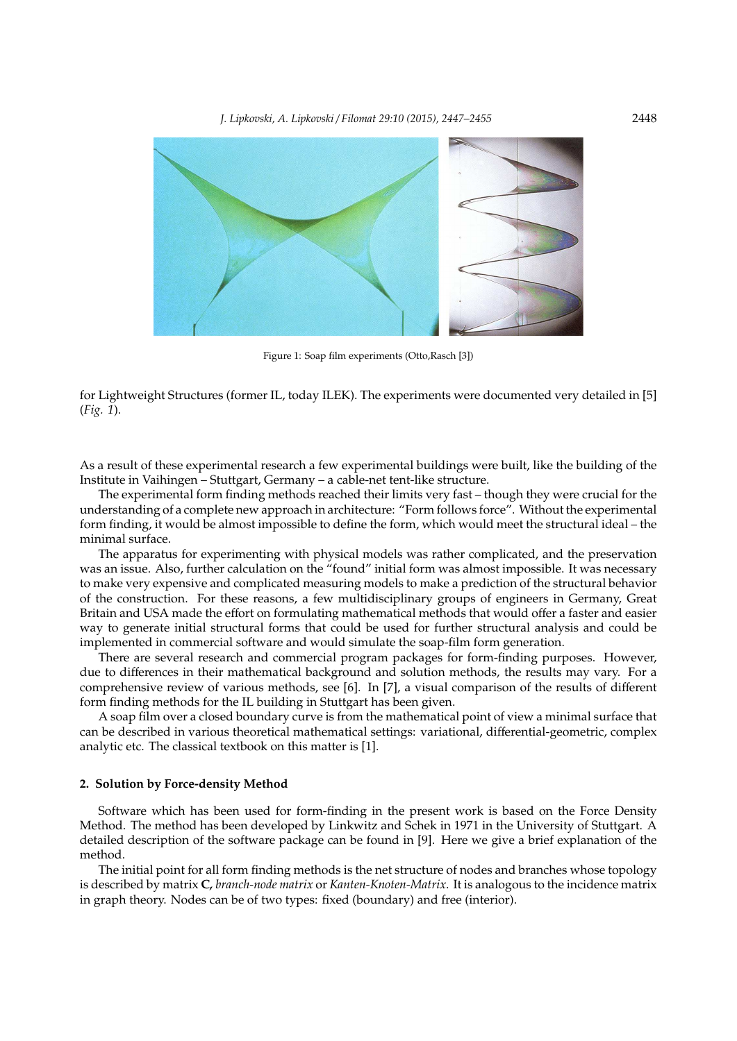

Figure 1: Soap film experiments (Otto,Rasch [3])

for Lightweight Structures (former IL, today ILEK). The experiments were documented very detailed in [5] (*Fig. 1*).

As a result of these experimental research a few experimental buildings were built, like the building of the Institute in Vaihingen – Stuttgart, Germany – a cable-net tent-like structure.

The experimental form finding methods reached their limits very fast – though they were crucial for the understanding of a complete new approach in architecture: "Form follows force". Without the experimental form finding, it would be almost impossible to define the form, which would meet the structural ideal – the minimal surface.

The apparatus for experimenting with physical models was rather complicated, and the preservation was an issue. Also, further calculation on the "found" initial form was almost impossible. It was necessary to make very expensive and complicated measuring models to make a prediction of the structural behavior of the construction. For these reasons, a few multidisciplinary groups of engineers in Germany, Great Britain and USA made the effort on formulating mathematical methods that would offer a faster and easier way to generate initial structural forms that could be used for further structural analysis and could be implemented in commercial software and would simulate the soap-film form generation.

There are several research and commercial program packages for form-finding purposes. However, due to differences in their mathematical background and solution methods, the results may vary. For a comprehensive review of various methods, see [6]. In [7], a visual comparison of the results of different form finding methods for the IL building in Stuttgart has been given.

A soap film over a closed boundary curve is from the mathematical point of view a minimal surface that can be described in various theoretical mathematical settings: variational, differential-geometric, complex analytic etc. The classical textbook on this matter is [1].

### **2. Solution by Force-density Method**

Software which has been used for form-finding in the present work is based on the Force Density Method. The method has been developed by Linkwitz and Schek in 1971 in the University of Stuttgart. A detailed description of the software package can be found in [9]. Here we give a brief explanation of the method.

The initial point for all form finding methods is the net structure of nodes and branches whose topology is described by matrix **C***, branch-node matrix* or *Kanten-Knoten-Matrix*. It is analogous to the incidence matrix in graph theory. Nodes can be of two types: fixed (boundary) and free (interior).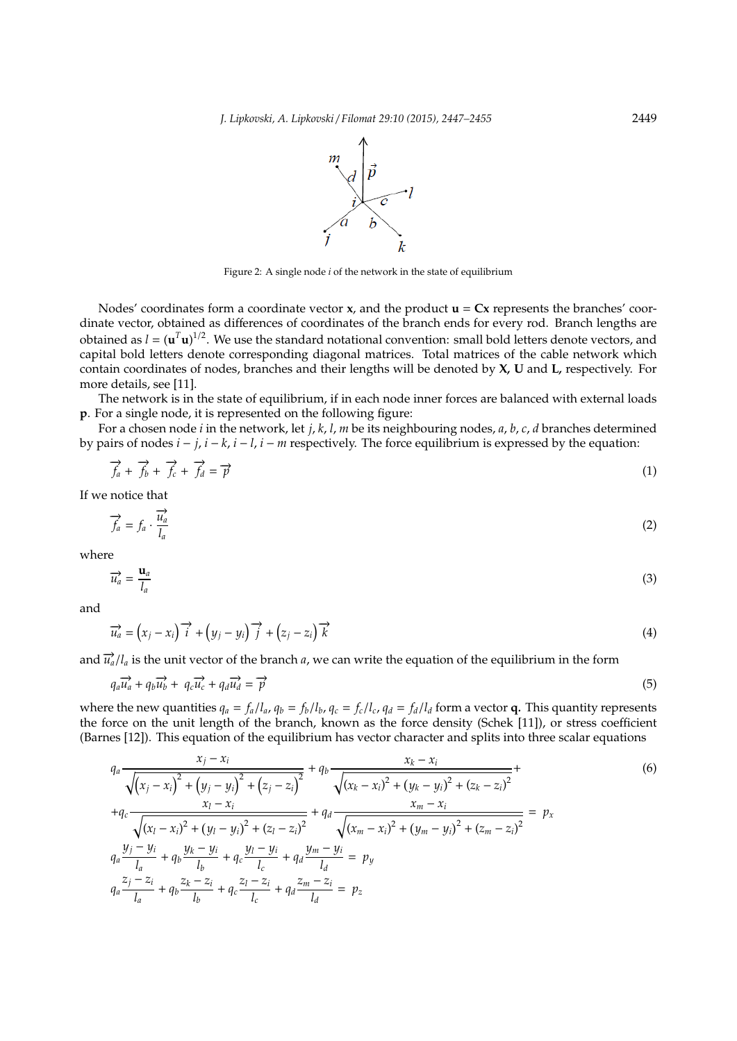

Figure 2: A single node *i* of the network in the state of equilibrium

Nodes' coordinates form a coordinate vector **x**, and the product  $\mathbf{u} = \mathbf{C}\mathbf{x}$  represents the branches' coordinate vector, obtained as differences of coordinates of the branch ends for every rod. Branch lengths are obtained as  $l = (\mathbf{u}^T \mathbf{u})^{1/2}$ . We use the standard notational convention: small bold letters denote vectors, and capital bold letters denote corresponding diagonal matrices. Total matrices of the cable network which contain coordinates of nodes, branches and their lengths will be denoted by **X***,* **U** and **L***,* respectively. For more details, see [11].

The network is in the state of equilibrium, if in each node inner forces are balanced with external loads **p**. For a single node, it is represented on the following figure:

For a chosen node *i* in the network, let *j*, *k*, *l*, *m* be its neighbouring nodes, *a*, *b*, *c*, *d* branches determined by pairs of nodes  $i - j$ ,  $i - k$ ,  $i - l$ ,  $i - m$  respectively. The force equilibrium is expressed by the equation:

$$
\overrightarrow{f}_a + \overrightarrow{f}_b + \overrightarrow{f}_c + \overrightarrow{f}_d = \overrightarrow{p}
$$
 (1)

If we notice that

$$
\overrightarrow{f_a} = f_a \cdot \overrightarrow{l_a}
$$
 (2)

where

$$
\overrightarrow{u}_a = \frac{\mathbf{u}_a}{l_a} \tag{3}
$$

and

$$
\overrightarrow{u_a} = (x_j - x_i)^{-1} + (y_j - y_i)^{-1} + (z_j - z_i)^{-1} \overrightarrow{k}
$$
\n(4)

and  $\vec{u}_a/l_a$  is the unit vector of the branch *a*, we can write the equation of the equilibrium in the form

$$
q_a \overrightarrow{u_a} + q_b \overrightarrow{u_b} + q_c \overrightarrow{u_c} + q_d \overrightarrow{u_d} = \overrightarrow{p}
$$
\n
$$
(5)
$$

where the new quantities  $q_a = f_a/l_a$ ,  $q_b = f_b/l_b$ ,  $q_c = f_c/l_c$ ,  $q_d = f_d/l_d$  form a vector **q**. This quantity represents the force on the unit length of the branch, known as the force density (Schek [11]), or stress coefficient (Barnes [12]). This equation of the equilibrium has vector character and splits into three scalar equations

$$
q_{a} \frac{x_{j} - x_{i}}{\sqrt{(x_{j} - x_{i})^{2} + (y_{j} - y_{i})^{2} + (z_{j} - z_{i})^{2}}} + q_{b} \frac{x_{k} - x_{i}}{\sqrt{(x_{k} - x_{i})^{2} + (y_{k} - y_{i})^{2} + (z_{k} - z_{i})^{2}}} + q_{c} \frac{x_{l} - x_{i}}{\sqrt{(x_{l} - x_{i})^{2} + (y_{l} - y_{i})^{2} + (z_{l} - z_{i})^{2}}} + q_{d} \frac{x_{m} - x_{i}}{\sqrt{(x_{m} - x_{i})^{2} + (y_{m} - y_{i})^{2} + (z_{m} - z_{i})^{2}}} = p_{x}
$$
\n
$$
q_{a} \frac{y_{j} - y_{i}}{l_{a}} + q_{b} \frac{y_{k} - y_{i}}{l_{b}} + q_{c} \frac{y_{l} - y_{i}}{l_{c}} + q_{d} \frac{y_{m} - y_{i}}{l_{d}} = p_{y}
$$
\n
$$
q_{a} \frac{z_{j} - z_{i}}{l_{a}} + q_{b} \frac{z_{k} - z_{i}}{l_{b}} + q_{c} \frac{z_{l} - z_{i}}{l_{c}} + q_{d} \frac{z_{m} - z_{i}}{l_{d}} = p_{z}
$$
\n(6)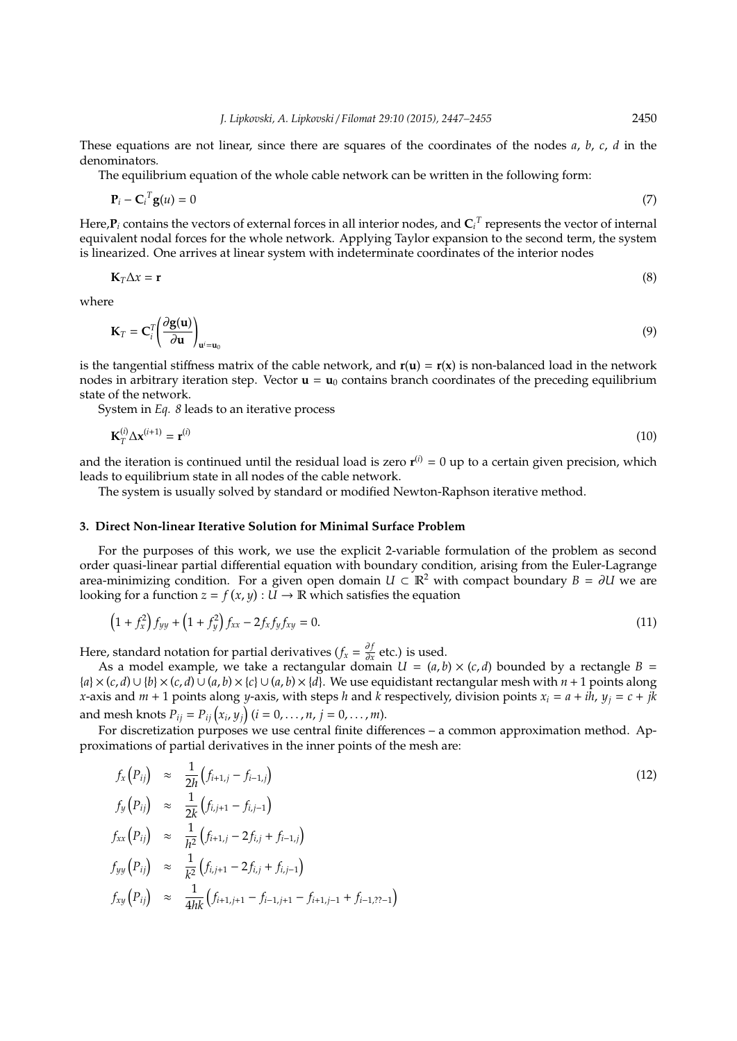These equations are not linear, since there are squares of the coordinates of the nodes *a*, *b*, *c*, *d* in the denominators*.*

The equilibrium equation of the whole cable network can be written in the following form:

$$
\mathbf{P}_i - \mathbf{C}_i^T \mathbf{g}(u) = 0 \tag{7}
$$

Here, $P_i$  contains the vectors of external forces in all interior nodes, and  $\mathbf{C}_i{}^T$  represents the vector of internal equivalent nodal forces for the whole network. Applying Taylor expansion to the second term, the system is linearized. One arrives at linear system with indeterminate coordinates of the interior nodes

$$
\mathbf{K}_T \Delta x = \mathbf{r} \tag{8}
$$

where

$$
\mathbf{K}_{T} = \mathbf{C}_{i}^{T} \left( \frac{\partial \mathbf{g}(\mathbf{u})}{\partial \mathbf{u}} \right)_{\mathbf{u}^{i} = \mathbf{u}_{0}}
$$
(9)

is the tangential stiffness matrix of the cable network, and  $\mathbf{r}(\mathbf{u}) = \mathbf{r}(\mathbf{x})$  is non-balanced load in the network nodes in arbitrary iteration step. Vector  $\mathbf{u} = \mathbf{u}_0$  contains branch coordinates of the preceding equilibrium state of the network.

System in *Eq. 8* leads to an iterative process

$$
\mathbf{K}_T^{(i)} \Delta \mathbf{x}^{(i+1)} = \mathbf{r}^{(i)} \tag{10}
$$

and the iteration is continued until the residual load is zero  $r^{(i)} = 0$  up to a certain given precision, which leads to equilibrium state in all nodes of the cable network.

The system is usually solved by standard or modified Newton-Raphson iterative method.

### **3. Direct Non-linear Iterative Solution for Minimal Surface Problem**

For the purposes of this work, we use the explicit 2-variable formulation of the problem as second order quasi-linear partial differential equation with boundary condition, arising from the Euler-Lagrange area-minimizing condition. For a given open domain  $U \subset \mathbb{R}^2$  with compact boundary  $B = \partial U$  we are looking for a function  $z = f(x, y) : U \to \mathbb{R}$  which satisfies the equation

$$
(1 + f_x^2) f_{yy} + (1 + f_y^2) f_{xx} - 2f_x f_y f_{xy} = 0.
$$
 (11)

Here, standard notation for partial derivatives ( $f_x = \frac{\partial f}{\partial x}$  $\frac{\partial f}{\partial x}$  etc.) is used.

As a model example, we take a rectangular domain  $U = (a, b) \times (c, d)$  bounded by a rectangle  $B =$ {*a*} × (*c*, *d*) ∪ {*b*} × (*c*, *d*) ∪ (*a*, *b*) × {*c*} ∪ (*a*, *b*) × {*d*}. We use equidistant rectangular mesh with *n* + 1 points along *x*-axis and  $m + 1$  points along *y*-axis, with steps *h* and *k* respectively, division points  $x_i = a + ih$ ,  $y_j = c + jk$ and mesh knots  $P_{ij} = P_{ij} (x_i, y_j)$  ( $i = 0, ..., n, j = 0, ..., m$ ).

For discretization purposes we use central finite differences – a common approximation method. Approximations of partial derivatives in the inner points of the mesh are:

$$
f_x(P_{ij}) \approx \frac{1}{2h} (f_{i+1,j} - f_{i-1,j})
$$
  
\n
$$
f_y(P_{ij}) \approx \frac{1}{2k} (f_{i,j+1} - f_{i,j-1})
$$
  
\n
$$
f_{xx}(P_{ij}) \approx \frac{1}{h^2} (f_{i+1,j} - 2f_{i,j} + f_{i-1,j})
$$
  
\n
$$
f_{yy}(P_{ij}) \approx \frac{1}{k^2} (f_{i,j+1} - 2f_{i,j} + f_{i,j-1})
$$
  
\n
$$
f_{xy}(P_{ij}) \approx \frac{1}{4hk} (f_{i+1,j+1} - f_{i-1,j+1} - f_{i+1,j-1} + f_{i-1,2} - 1)
$$
\n(12)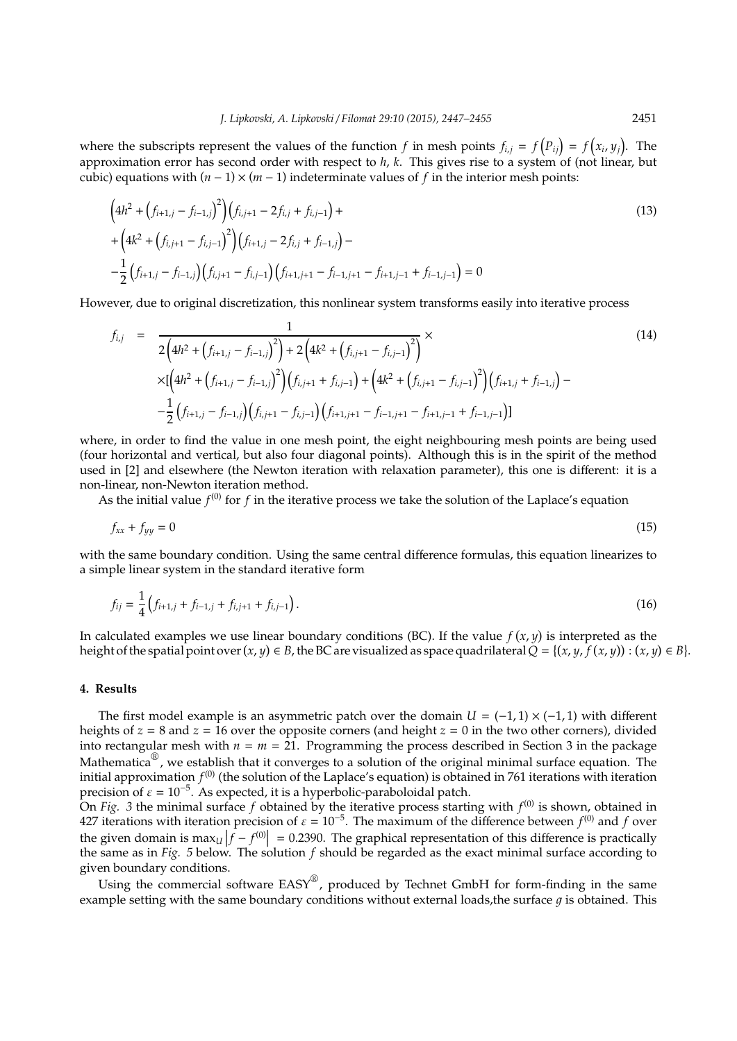where the subscripts represent the values of the function *f* in mesh points  $f_{i,j} = f(P_{ij}) = f(x_i, y_j)$ . The approximation error has second order with respect to *h*, *k*. This gives rise to a system of (not linear, but cubic) equations with  $(n - 1) \times (m - 1)$  indeterminate values of *f* in the interior mesh points:

$$
\left(4h^{2} + \left(f_{i+1,j} - f_{i-1,j}\right)^{2}\right)\left(f_{i,j+1} - 2f_{i,j} + f_{i,j-1}\right) +
$$
\n
$$
+\left(4k^{2} + \left(f_{i,j+1} - f_{i,j-1}\right)^{2}\right)\left(f_{i+1,j} - 2f_{i,j} + f_{i-1,j}\right) -
$$
\n
$$
-\frac{1}{2}\left(f_{i+1,j} - f_{i-1,j}\right)\left(f_{i,j+1} - f_{i,j-1}\right)\left(f_{i+1,j+1} - f_{i-1,j+1} - f_{i+1,j-1} + f_{i-1,j-1}\right) = 0
$$
\n(13)

However, due to original discretization, this nonlinear system transforms easily into iterative process

$$
f_{i,j} = \frac{1}{2\left(4h^2 + (f_{i+1,j} - f_{i-1,j})^2\right) + 2\left(4k^2 + (f_{i,j+1} - f_{i,j-1})^2\right)} \times \left[ \left(4h^2 + (f_{i+1,j} - f_{i-1,j})^2\right) \left(f_{i,j+1} + f_{i,j-1}\right) + \left(4k^2 + (f_{i,j+1} - f_{i,j-1})^2\right) \left(f_{i+1,j} + f_{i-1,j}\right) - \frac{1}{2}\left(f_{i+1,j} - f_{i-1,j}\right)\left(f_{i,j+1} - f_{i,j-1}\right)\left(f_{i+1,j+1} - f_{i-1,j+1} - f_{i+1,j-1} + f_{i-1,j-1}\right)\right]
$$
\n(14)

where, in order to find the value in one mesh point, the eight neighbouring mesh points are being used (four horizontal and vertical, but also four diagonal points). Although this is in the spirit of the method used in [2] and elsewhere (the Newton iteration with relaxation parameter), this one is different: it is a non-linear, non-Newton iteration method.

As the initial value  $f^{(0)}$  for  $f$  in the iterative process we take the solution of the Laplace's equation

$$
f_{xx} + f_{yy} = 0 \tag{15}
$$

with the same boundary condition. Using the same central difference formulas, this equation linearizes to a simple linear system in the standard iterative form

$$
f_{ij} = \frac{1}{4} \left( f_{i+1,j} + f_{i-1,j} + f_{i,j+1} + f_{i,j-1} \right). \tag{16}
$$

In calculated examples we use linear boundary conditions (BC). If the value  $f(x, y)$  is interpreted as the height of the spatial point over  $(x, y) \in B$ , the BC are visualized as space quadrilateral  $Q = \{(x, y, f(x, y)) : (x, y) \in B\}$ .

## **4. Results**

The first model example is an asymmetric patch over the domain  $U = (-1,1) \times (-1,1)$  with different heights of *z* = 8 and *z* = 16 over the opposite corners (and height *z* = 0 in the two other corners), divided into rectangular mesh with  $n = m = 21$ . Programming the process described in Section 3 in the package Mathematica<sup>®</sup>, we establish that it converges to a solution of the original minimal surface equation. The initial approximation  $f^{(0)}$  (the solution of the Laplace's equation) is obtained in 761 iterations with iteration precision of  $\varepsilon = 10^{-5}$ . As expected, it is a hyperbolic-paraboloidal patch.

On *Fig.* 3 the minimal surface  $f$  obtained by the iterative process starting with  $f^{(0)}$  is shown, obtained in 427 iterations with iteration precision of  $\varepsilon = 10^{-5}$ . The maximum of the difference between  $f^{(0)}$  and f over the given domain is  $\max_U |\hat{f} - f^{(0)}| = 0.2390$ . The graphical representation of this difference is practically the general representation of the graphical representation to the graphical representation to the graphical rep the same as in *Fig. 5* below. The solution *f* should be regarded as the exact minimal surface according to given boundary conditions.

Using the commercial software EASY®, produced by Technet GmbH for form-finding in the same example setting with the same boundary conditions without external loads, the surface  $q$  is obtained. This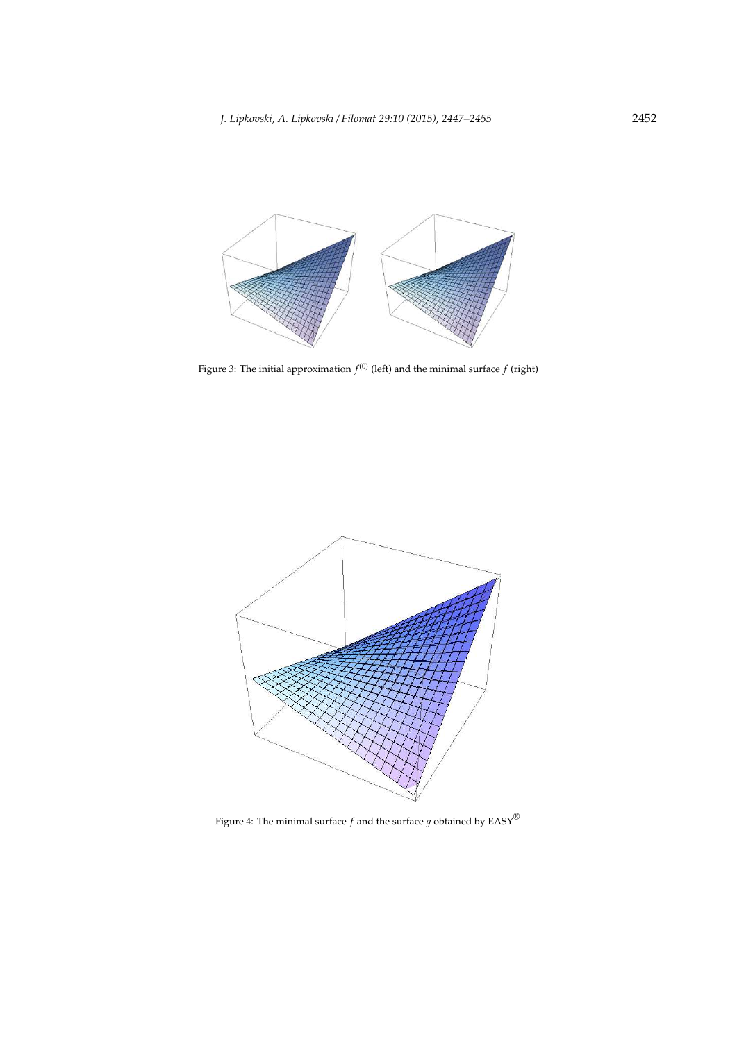

Figure 3: The initial approximation  $f^{(0)}$  (left) and the minimal surface  $f$  (right)



Figure 4: The minimal surface  $f$  and the surface  $g$  obtained by  $\mathrm{EASY}^{\circledR}$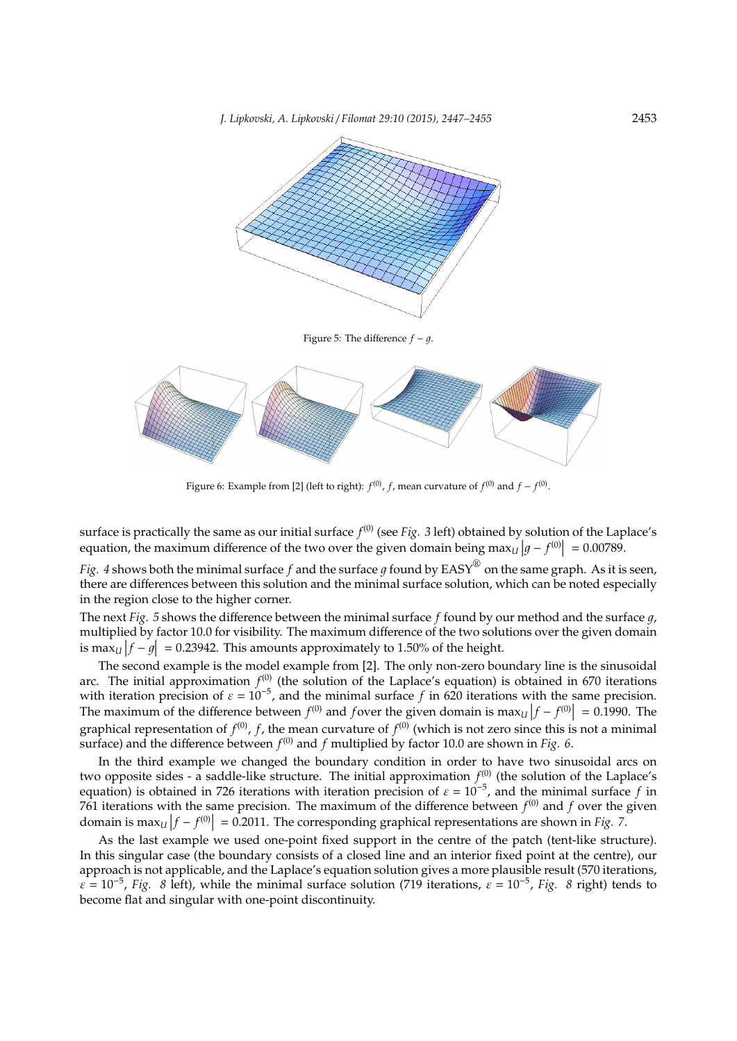

Figure 5: The difference  $f - g$ .



Figure 6: Example from [2] (left to right):  $f^{(0)}$ ,  $f$ , mean curvature of  $f^{(0)}$  and  $f - f^{(0)}$ .

surface is practically the same as our initial surface  $f^{(0)}$  (see Fig. 3 left) obtained by solution of the Laplace's equation, the maximum difference of the two over the given domain being  $\max_{U} |g - f^{(0)}| = 0.00789$ .

*Fig. 4* shows both the minimal surface  $f$  and the surface  $g$  found by EASY $^\circledR$  on the same graph. As it is seen, there are differences between this solution and the minimal surface solution, which can be noted especially in the region close to the higher corner.

The next *Fig.* 5 shows the difference between the minimal surface f found by our method and the surface q, multiplied by factor 10.0 for visibility. The maximum difference of the two solutions over the given domain is max<sub>*U*</sub>  $|f - g| = 0.23942$ . This amounts approximately to 1.50% of the height.

The second example is the model example from [2]. The only non-zero boundary line is the sinusoidal arc. The initial approximation  $f^{(0)}$  (the solution of the Laplace's equation) is obtained in 670 iterations with iteration precision of  $\varepsilon = 10^{-5}$ , and the minimal surface f in 620 iterations with the same precision. The maximum of the difference between  $f^{(0)}$  and *f* over the given domain is  $\max_U |f - f^{(0)}| = 0.1990$ . The graphical representation of  $f^{(0)}$ ,  $f$ , the mean curvature of  $f^{(0)}$  (which is not zero since this is not a minimal surface) and the difference between  $f^{(0)}$  and  $f$  multiplied by factor 10.0 are shown in *Fig. 6*.

In the third example we changed the boundary condition in order to have two sinusoidal arcs on two opposite sides - a saddle-like structure. The initial approximation  $f^{(0)}$  (the solution of the Laplace's equation) is obtained in 726 iterations with iteration precision of  $\varepsilon = 10^{-5}$ , and the minimal surface *f* in 761 iterations with the same precision. The maximum of the difference between  $f^{(0)}$  and  $f$  over the given domain is  $\max_{U} |f - f^{(0)}| = 0.2011$ . The corresponding graphical representations are shown in *Fig. 7*.

As the last example we used one-point fixed support in the centre of the patch (tent-like structure). In this singular case (the boundary consists of a closed line and an interior fixed point at the centre), our approach is not applicable, and the Laplace's equation solution gives a more plausible result (570 iterations,  $\varepsilon = 10^{-5}$ , *Fig. 8* left), while the minimal surface solution (719 iterations,  $\varepsilon = 10^{-5}$ , *Fig. 8* right) tends to become flat and singular with one-point discontinuity.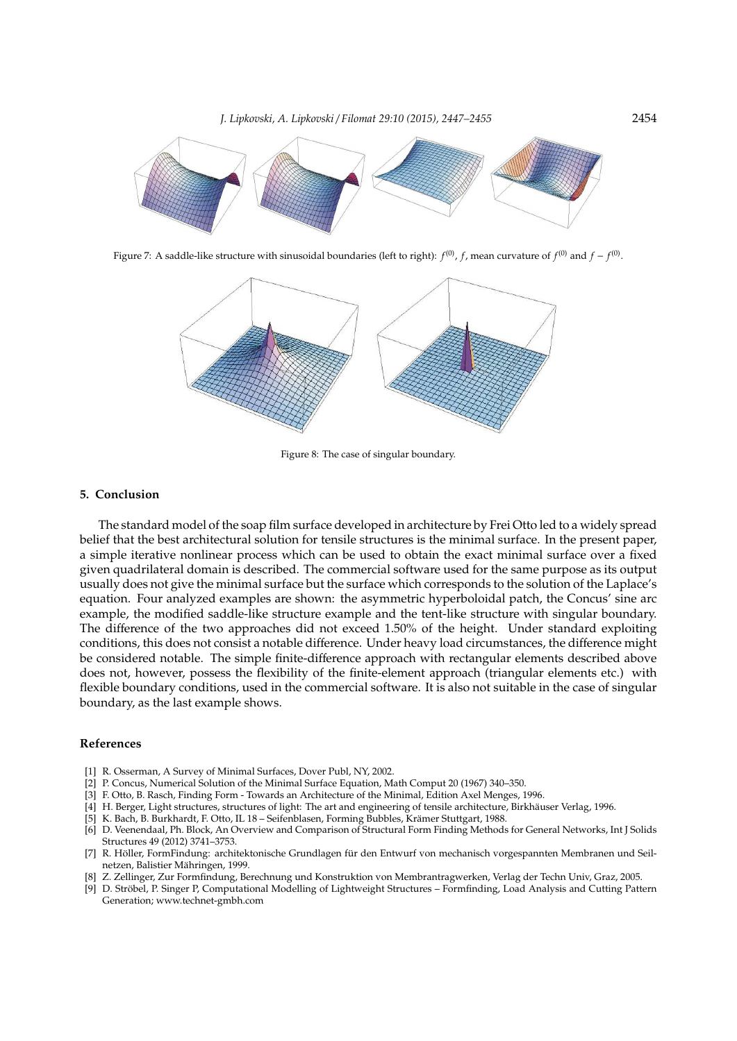

Figure 7: A saddle-like structure with sinusoidal boundaries (left to right):  $f^{(0)}$ ,  $f$ , mean curvature of  $f^{(0)}$  and  $f-f^{(0)}$ .



Figure 8: The case of singular boundary.

## **5. Conclusion**

The standard model of the soap film surface developed in architecture by Frei Otto led to a widely spread belief that the best architectural solution for tensile structures is the minimal surface. In the present paper, a simple iterative nonlinear process which can be used to obtain the exact minimal surface over a fixed given quadrilateral domain is described. The commercial software used for the same purpose as its output usually does not give the minimal surface but the surface which corresponds to the solution of the Laplace's equation. Four analyzed examples are shown: the asymmetric hyperboloidal patch, the Concus' sine arc example, the modified saddle-like structure example and the tent-like structure with singular boundary. The difference of the two approaches did not exceed 1.50% of the height. Under standard exploiting conditions, this does not consist a notable difference. Under heavy load circumstances, the difference might be considered notable. The simple finite-difference approach with rectangular elements described above does not, however, possess the flexibility of the finite-element approach (triangular elements etc.) with flexible boundary conditions, used in the commercial software. It is also not suitable in the case of singular boundary, as the last example shows.

#### **References**

- [1] R. Osserman, A Survey of Minimal Surfaces, Dover Publ, NY, 2002.
- [2] P. Concus, Numerical Solution of the Minimal Surface Equation, Math Comput 20 (1967) 340–350.
- [3] F. Otto, B. Rasch, Finding Form Towards an Architecture of the Minimal, Edition Axel Menges, 1996.
- [4] H. Berger, Light structures, structures of light: The art and engineering of tensile architecture, Birkhäuser Verlag, 1996.
- [5] K. Bach, B. Burkhardt, F. Otto, IL 18 Seifenblasen, Forming Bubbles, Krämer Stuttgart, 1988.
- [6] D. Veenendaal, Ph. Block, An Overview and Comparison of Structural Form Finding Methods for General Networks, Int J Solids Structures 49 (2012) 3741–3753.
- [7] R. Höller, FormFindung: architektonische Grundlagen für den Entwurf von mechanisch vorgespannten Membranen und Seilnetzen, Balistier Mähringen, 1999.
- [8] Z. Zellinger, Zur Formfindung, Berechnung und Konstruktion von Membrantragwerken, Verlag der Techn Univ, Graz, 2005.
- [9] D. Strobel, P. Singer P, Computational Modelling of Lightweight Structures Formfinding, Load Analysis and Cutting Pattern ¨ Generation; www.technet-gmbh.com